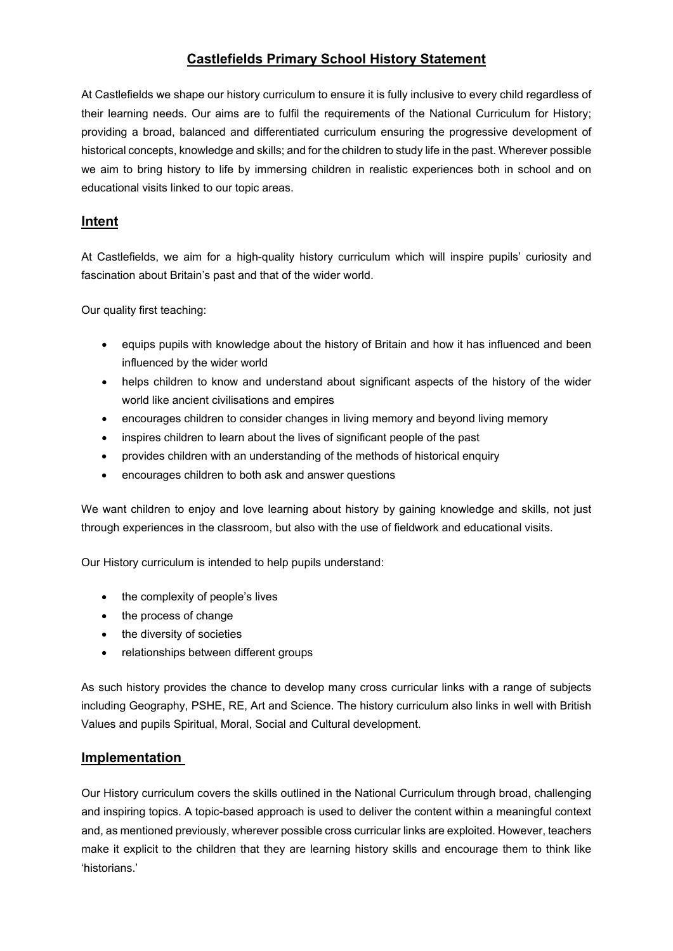# **Castlefields Primary School History Statement**

At Castlefields we shape our history curriculum to ensure it is fully inclusive to every child regardless of their learning needs. Our aims are to fulfil the requirements of the National Curriculum for History; providing a broad, balanced and differentiated curriculum ensuring the progressive development of historical concepts, knowledge and skills; and for the children to study life in the past. Wherever possible we aim to bring history to life by immersing children in realistic experiences both in school and on educational visits linked to our topic areas.

## **Intent**

At Castlefields, we aim for a high-quality history curriculum which will inspire pupils' curiosity and fascination about Britain's past and that of the wider world.

Our quality first teaching:

- equips pupils with knowledge about the history of Britain and how it has influenced and been influenced by the wider world
- helps children to know and understand about significant aspects of the history of the wider world like ancient civilisations and empires
- encourages children to consider changes in living memory and beyond living memory
- inspires children to learn about the lives of significant people of the past
- provides children with an understanding of the methods of historical enquiry
- encourages children to both ask and answer questions

We want children to enjoy and love learning about history by gaining knowledge and skills, not just through experiences in the classroom, but also with the use of fieldwork and educational visits.

Our History curriculum is intended to help pupils understand:

- the complexity of people's lives
- the process of change
- the diversity of societies
- relationships between different groups

As such history provides the chance to develop many cross curricular links with a range of subjects including Geography, PSHE, RE, Art and Science. The history curriculum also links in well with British Values and pupils Spiritual, Moral, Social and Cultural development.

## **Implementation**

Our History curriculum covers the skills outlined in the National Curriculum through broad, challenging and inspiring topics. A topic-based approach is used to deliver the content within a meaningful context and, as mentioned previously, wherever possible cross curricular links are exploited. However, teachers make it explicit to the children that they are learning history skills and encourage them to think like 'historians.'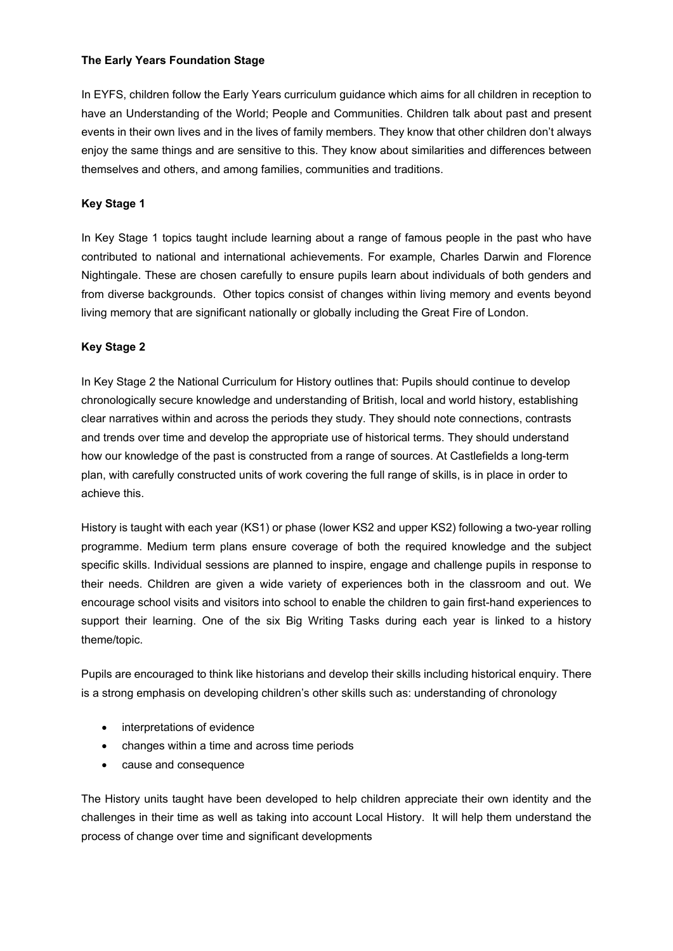#### **The Early Years Foundation Stage**

In EYFS, children follow the Early Years curriculum guidance which aims for all children in reception to have an Understanding of the World; People and Communities. Children talk about past and present events in their own lives and in the lives of family members. They know that other children don't always enjoy the same things and are sensitive to this. They know about similarities and differences between themselves and others, and among families, communities and traditions.

### **Key Stage 1**

In Key Stage 1 topics taught include learning about a range of famous people in the past who have contributed to national and international achievements. For example, Charles Darwin and Florence Nightingale. These are chosen carefully to ensure pupils learn about individuals of both genders and from diverse backgrounds. Other topics consist of changes within living memory and events beyond living memory that are significant nationally or globally including the Great Fire of London.

### **Key Stage 2**

In Key Stage 2 the National Curriculum for History outlines that: Pupils should continue to develop chronologically secure knowledge and understanding of British, local and world history, establishing clear narratives within and across the periods they study. They should note connections, contrasts and trends over time and develop the appropriate use of historical terms. They should understand how our knowledge of the past is constructed from a range of sources. At Castlefields a long-term plan, with carefully constructed units of work covering the full range of skills, is in place in order to achieve this.

History is taught with each year (KS1) or phase (lower KS2 and upper KS2) following a two-year rolling programme. Medium term plans ensure coverage of both the required knowledge and the subject specific skills. Individual sessions are planned to inspire, engage and challenge pupils in response to their needs. Children are given a wide variety of experiences both in the classroom and out. We encourage school visits and visitors into school to enable the children to gain first-hand experiences to support their learning. One of the six Big Writing Tasks during each year is linked to a history theme/topic.

Pupils are encouraged to think like historians and develop their skills including historical enquiry. There is a strong emphasis on developing children's other skills such as: understanding of chronology

- interpretations of evidence
- changes within a time and across time periods
- cause and consequence

The History units taught have been developed to help children appreciate their own identity and the challenges in their time as well as taking into account Local History. It will help them understand the process of change over time and significant developments